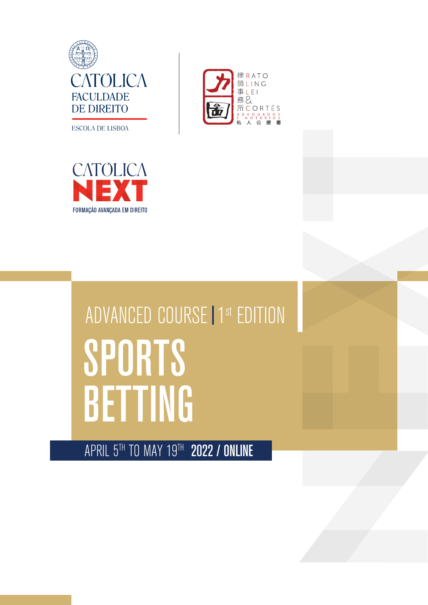

律RATO 師LING 事 | F | 



## ADVANCED COURSE | 1<sup>st</sup> EDITION **SPORTS BETTING**

APRIL 5TH TO MAY 19TH 2022 / ONLINE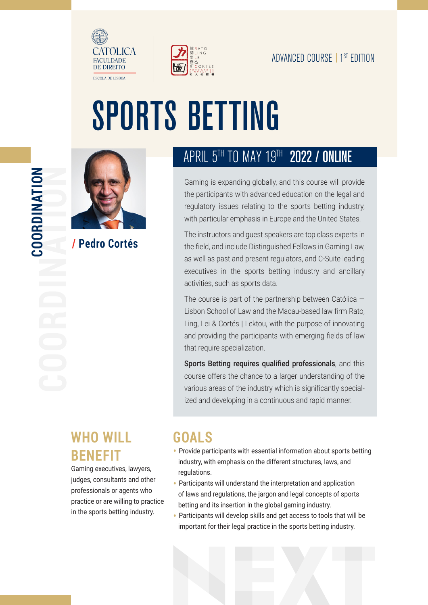



# SPORTS BETTING



**/ Pedro Cortés**

## APRIL 5<sup>TH</sup> TO MAY 19TH 2022 / ONLINE

Gaming is expanding globally, and this course will provide the participants with advanced education on the legal and regulatory issues relating to the sports betting industry, with particular emphasis in Europe and the United States.

The instructors and guest speakers are top class experts in the field, and include Distinguished Fellows in Gaming Law, as well as past and present regulators, and C-Suite leading executives in the sports betting industry and ancillary activities, such as sports data.

The course is part of the partnership between Católica — Lisbon School of Law and the Macau-based law firm Rato, Ling, Lei & Cortés | Lektou, with the purpose of innovating and providing the participants with emerging fields of law that require specialization.

Sports Betting requires qualified professionals, and this course offers the chance to a larger understanding of the various areas of the industry which is significantly specialized and developing in a continuous and rapid manner.

## **WHO WILL BENEFIT**

Gaming executives, lawyers, judges, consultants and other professionals or agents who practice or are willing to practice in the sports betting industry.

## **GOALS**

- Provide participants with essential information about sports betting industry, with emphasis on the different structures, laws, and regulations.
- Participants will understand the interpretation and application of laws and regulations, the jargon and legal concepts of sports betting and its insertion in the global gaming industry.
- Participants will develop skills and get access to tools that will be important for their legal practice in the sports betting industry.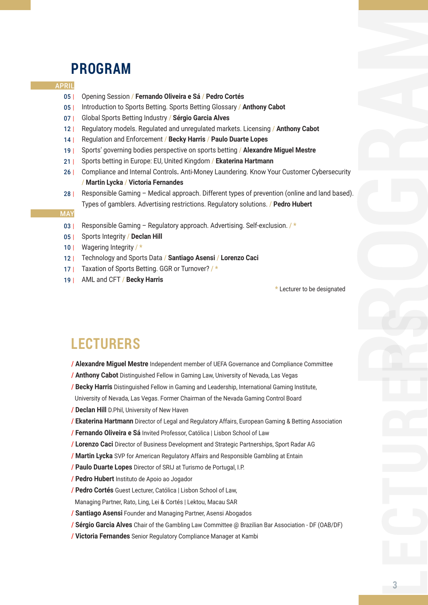## **PROGRAM**

### APRIL

- 05 | Opening Session / **Fernando Oliveira e Sá** / **Pedro Cortés**
- 05 | Introduction to Sports Betting. Sports Betting Glossary / **Anthony Cabot**
- 07 | Global Sports Betting Industry / **Sérgio Garcia Alves**
- $12<sub>1</sub>$ Regulatory models. Regulated and unregulated markets. Licensing / **Anthony Cabot**
- $14$  | Regulation and Enforcement / **Becky Harris** / **Paulo Duarte Lopes**
- 19 | Sports' governing bodies perspective on sports betting / **Alexandre Miguel Mestre**
- $21$  | Sports betting in Europe: EU, United Kingdom / **Ekaterina Hartmann**
- 26 | Compliance and Internal Controls**.** Anti-Money Laundering. Know Your Customer Cybersecurity / **Martin Lycka** / **Victoria Fernandes**
- 28 | Responsible Gaming – Medical approach. Different types of prevention (online and land based). Types of gamblers. Advertising restrictions. Regulatory solutions. / **Pedro Hubert**

#### MAY

- 03 | Responsible Gaming – Regulatory approach. Advertising. Self-exclusion. / **\***
- 05 | Sports Integrity / **Declan Hill**
- 10 | Wagering Integrity / **\***
- 12 | Technology and Sports Data / **Santiago Asensi** / **Lorenzo Caci**
- 17 | Taxation of Sports Betting. GGR or Turnover? / **\***
- 19 | AML and CFT / **Becky Harris**

**\*** Lecturer to be designated

## **LECTURERS**

- **/ Alexandre Miguel Mestre** Independent member of UEFA Governance and Compliance Committee
- **/ Anthony Cabot** Distinguished Fellow in Gaming Law, University of Nevada, Las Vegas
- **/ Becky Harris** Distinguished Fellow in Gaming and Leadership, International Gaming Institute,
- University of Nevada, Las Vegas. Former Chairman of the Nevada Gaming Control Board
- **/ Declan Hill** D.Phil, University of New Haven
- **/ Ekaterina Hartmann** Director of Legal and Regulatory Affairs, European Gaming & Betting Association
- **/ Fernando Oliveira e Sá** Invited Professor, Católica | Lisbon School of Law
- **/ Lorenzo Caci** Director of Business Development and Strategic Partnerships, Sport Radar AG
- **/ Martin Lycka** SVP for American Regulatory Affairs and Responsible Gambling at Entain
- **/ Paulo Duarte Lopes** Director of SRIJ at Turismo de Portugal, I.P.
- **/ Pedro Hubert** Instituto de Apoio ao Jogador
- **/ Pedro Cortés** Guest Lecturer, Católica | Lisbon School of Law,
- Managing Partner, Rato, Ling, Lei & Cortés | Lektou, Macau SAR
- **/ Santiago Asensi** Founder and Managing Partner, Asensi Abogados
- **/ Sérgio Garcia Alves** Chair of the Gambling Law Committee @ Brazilian Bar Association DF (OAB/DF)
- **/ Victoria Fernandes** Senior Regulatory Compliance Manager at Kambi